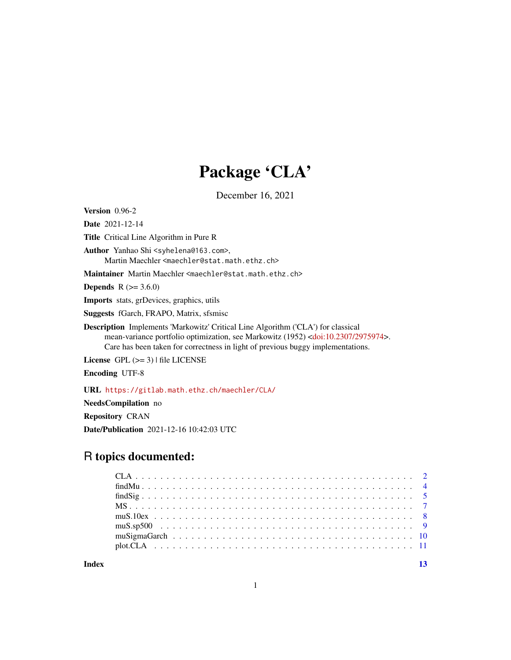# Package 'CLA'

December 16, 2021

<span id="page-0-0"></span>Version 0.96-2

Date 2021-12-14

Title Critical Line Algorithm in Pure R

Author Yanhao Shi <syhelena@163.com>, Martin Maechler <maechler@stat.math.ethz.ch>

Maintainer Martin Maechler <maechler@stat.math.ethz.ch>

**Depends**  $R (= 3.6.0)$ 

Imports stats, grDevices, graphics, utils

Suggests fGarch, FRAPO, Matrix, sfsmisc

Description Implements 'Markowitz' Critical Line Algorithm ('CLA') for classical mean-variance portfolio optimization, see Markowitz (1952) [<doi:10.2307/2975974>](https://doi.org/10.2307/2975974). Care has been taken for correctness in light of previous buggy implementations.

License  $GPL$  ( $>= 3$ ) | file LICENSE

Encoding UTF-8

URL <https://gitlab.math.ethz.ch/maechler/CLA/>

NeedsCompilation no

Repository CRAN

Date/Publication 2021-12-16 10:42:03 UTC

# R topics documented:

**Index** [13](#page-12-0)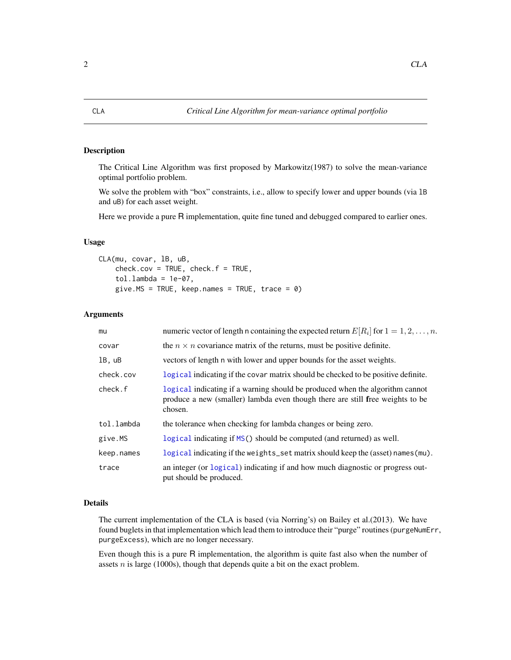<span id="page-1-1"></span><span id="page-1-0"></span>The Critical Line Algorithm was first proposed by Markowitz(1987) to solve the mean-variance optimal portfolio problem.

We solve the problem with "box" constraints, i.e., allow to specify lower and upper bounds (via lB and uB) for each asset weight.

Here we provide a pure R implementation, quite fine tuned and debugged compared to earlier ones.

# Usage

CLA(mu, covar, lB, uB,  $check.cov = TRUE, check.f = TRUE,$  $tol.lambda = 1e-07,$ give.MS = TRUE, keep.names = TRUE, trace =  $0$ )

# Arguments

| mu         | numeric vector of length n containing the expected return $E[R_i]$ for $1 = 1, 2, , n$ .                                                                                 |
|------------|--------------------------------------------------------------------------------------------------------------------------------------------------------------------------|
| covar      | the $n \times n$ covariance matrix of the returns, must be positive definite.                                                                                            |
| 1B, uB     | vectors of length n with lower and upper bounds for the asset weights.                                                                                                   |
| check.cov  | logical indicating if the covar matrix should be checked to be positive definite.                                                                                        |
| check.f    | logical indicating if a warning should be produced when the algorithm cannot<br>produce a new (smaller) lambda even though there are still free weights to be<br>chosen. |
| tol.lambda | the tolerance when checking for lambda changes or being zero.                                                                                                            |
| give.MS    | logical indicating if MS() should be computed (and returned) as well.                                                                                                    |
| keep.names | logical indicating if the weights_set matrix should keep the (asset) names (mu).                                                                                         |
| trace      | an integer (or logical) indicating if and how much diagnostic or progress out-<br>put should be produced.                                                                |

#### Details

The current implementation of the CLA is based (via Norring's) on Bailey et al.(2013). We have found buglets in that implementation which lead them to introduce their "purge" routines (purgeNumErr, purgeExcess), which are no longer necessary.

Even though this is a pure R implementation, the algorithm is quite fast also when the number of assets  $n$  is large (1000s), though that depends quite a bit on the exact problem.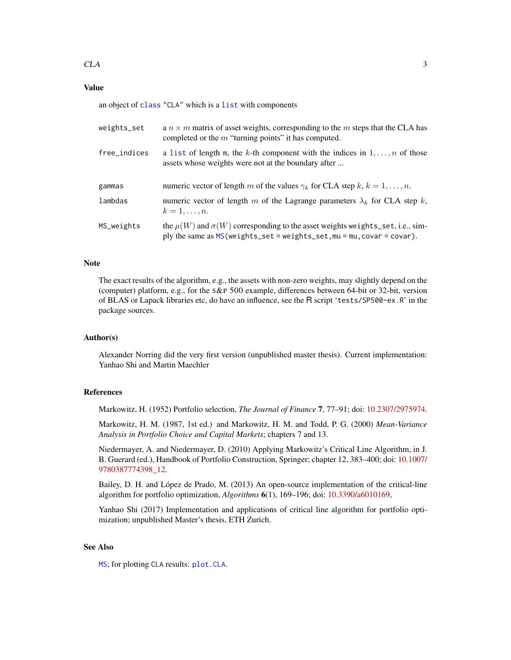# <span id="page-2-0"></span>Value

an object of [class](#page-0-0) "CLA" which is a [list](#page-0-0) with components

| weights_set  | a $n \times m$ matrix of asset weights, corresponding to the m steps that the CLA has<br>completed or the $m$ "turning points" it has computed.                      |
|--------------|----------------------------------------------------------------------------------------------------------------------------------------------------------------------|
| free_indices | a list of length m, the k-th component with the indices in $1, \ldots, n$ of those<br>assets whose weights were not at the boundary after                            |
| gammas       | numeric vector of length m of the values $\gamma_k$ for CLA step k, $k = 1, , n$ .                                                                                   |
| lambdas      | numeric vector of length m of the Lagrange parameters $\lambda_k$ for CLA step k,<br>$k=1,\ldots,n$ .                                                                |
| MS_weights   | the $\mu(W)$ and $\sigma(W)$ corresponding to the asset weights weights_set, i.e., sim-<br>ply the same as $MS(weights_set = weights_set, mu = mu, covar = covar)$ . |

# Note

The exact results of the algorithm, e.g., the assets with non-zero weights, may slightly depend on the (computer) platform, e.g., for the S&P 500 example, differences between 64-bit or 32-bit, version of BLAS or Lapack libraries etc, do have an influence, see the R script 'tests/SP500-ex.R' in the package sources.

# Author(s)

Alexander Norring did the very first version (unpublished master thesis). Current implementation: Yanhao Shi and Martin Maechler

# References

Markowitz, H. (1952) Portfolio selection, *The Journal of Finance* 7, 77–91; doi: [10.2307/2975974.](https://doi.org/10.2307/2975974)

Markowitz, H. M. (1987, 1st ed.) and Markowitz, H. M. and Todd, P. G. (2000) *Mean-Variance Analysis in Portfolio Choice and Capital Markets*; chapters 7 and 13.

Niedermayer, A. and Niedermayer, D. (2010) Applying Markowitz's Critical Line Algorithm, in J. B. Guerard (ed.), Handbook of Portfolio Construction, Springer; chapter 12, 383–400; doi: [10.1007/](https://doi.org/10.1007/978-0-387-77439-8_12) [9780387774398\\_12.](https://doi.org/10.1007/978-0-387-77439-8_12)

Bailey, D. H. and López de Prado, M. (2013) An open-source implementation of the critical-line algorithm for portfolio optimization, *Algorithms* 6(1), 169–196; doi: [10.3390/a6010169,](https://doi.org/10.3390/a6010169)

Yanhao Shi (2017) Implementation and applications of critical line algorithm for portfolio optimization; unpublished Master's thesis, ETH Zurich.

# See Also

[MS](#page-6-1); for plotting CLA results: [plot.CLA](#page-10-1).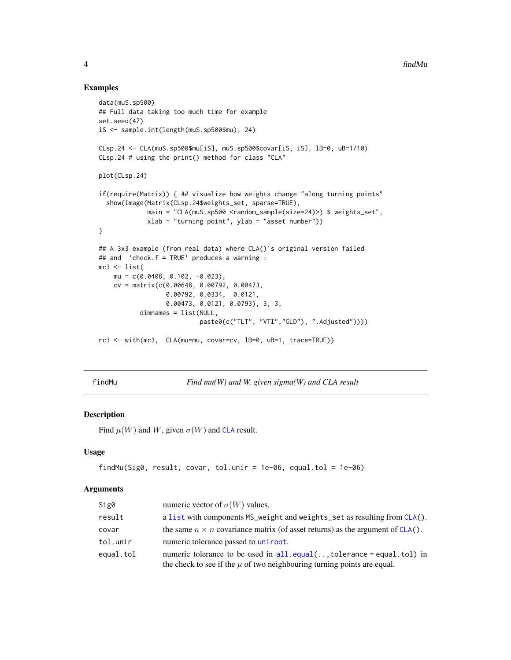# Examples

```
data(muS.sp500)
## Full data taking too much time for example
set.seed(47)
iS <- sample.int(length(muS.sp500$mu), 24)
CLsp.24 <- CLA(muS.sp500$mu[iS], muS.sp500$covar[iS, iS], lB=0, uB=1/10)
CLsp.24 # using the print() method for class "CLA"
plot(CLsp.24)
if(require(Matrix)) { ## visualize how weights change "along turning points"
  show(image(Matrix(CLsp.24$weights_set, sparse=TRUE),
             main = "CLA(muS.sp500 <random_sample(size=24)>) $ weights_set",
             xlab = "turning point", ylab = "asset number"))
}
## A 3x3 example (from real data) where CLA()'s original version failed
## and 'check.f = TRUE' produces a warning :
mc3 < - list(
   mu = c(0.0408, 0.102, -0.023),
   cv = matrix(c(0.00648, 0.00792, 0.00473,
                  0.00792, 0.0334, 0.0121,
                  0.00473, 0.0121, 0.0793), 3, 3,
           dimnames = list(NULL,
                           paste0(c("TLT", "VTI","GLD"), ".Adjusted"))))
rc3 <- with(mc3, CLA(mu=mu, covar=cv, lB=0, uB=1, trace=TRUE))
```
<span id="page-3-1"></span>findMu *Find mu(W) and W, given sigma(W) and CLA result*

# Description

Find  $\mu(W)$  and W, given  $\sigma(W)$  and [CLA](#page-1-1) result.

# Usage

```
findMu(Sig0, result, covar, tol.unir = 1e-06, equal.tol = 1e-06)
```
#### Arguments

| Sig0      | numeric vector of $\sigma(W)$ values.                                                                                                                  |
|-----------|--------------------------------------------------------------------------------------------------------------------------------------------------------|
| result    | a list with components MS_weight and weights_set as resulting from CLA().                                                                              |
| covar     | the same $n \times n$ covariance matrix (of asset returns) as the argument of CLA().                                                                   |
| tol.unir  | numeric tolerance passed to uniroot.                                                                                                                   |
| equal.tol | numeric tolerance to be used in $all.equals($ tolerance = equal.tol) in<br>the check to see if the $\mu$ of two neighbouring turning points are equal. |

<span id="page-3-0"></span>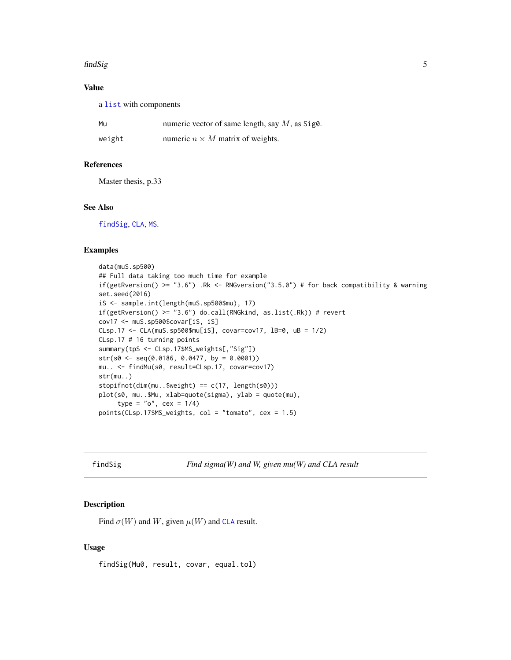#### <span id="page-4-0"></span>findSig 5

# Value

a [list](#page-0-0) with components

| Mu     | numeric vector of same length, say $M$ , as Sig0. |
|--------|---------------------------------------------------|
| weight | numeric $n \times M$ matrix of weights.           |

# References

Master thesis, p.33

# See Also

[findSig](#page-4-1), [CLA](#page-1-1), [MS](#page-6-1).

# Examples

```
data(muS.sp500)
## Full data taking too much time for example
if(getRversion() >= "3.6") .Rk <- RNGversion("3.5.0") # for back compatibility & warning
set.seed(2016)
iS <- sample.int(length(muS.sp500$mu), 17)
if(getRversion() >= "3.6") do.call(RNGkind, as.list(.Rk)) # revertcov17 <- muS.sp500$covar[iS, iS]
CLsp.17 <- CLA(muS.sp500$mu[iS], covar=cov17, lB=0, uB = 1/2)
CLsp.17 # 16 turning points
summary(tpS <- CLsp.17$MS_weights[,"Sig"])
str(s0 \leq seq(0.0186, 0.0477, by = 0.0001))mu.. <- findMu(s0, result=CLsp.17, covar=cov17)
str(mu..)
stopifnot(dim(mu..$weight) == c(17, length(s0)))plot(s0, mu..$Mu, xlab=quote(sigma), ylab = quote(mu),
     type = "o", cex = 1/4)
points(CLsp.17$MS_weights, col = "tomato", cex = 1.5)
```
<span id="page-4-1"></span>findSig *Find sigma(W) and W, given mu(W) and CLA result*

# Description

Find  $\sigma(W)$  and W, given  $\mu(W)$  and [CLA](#page-1-1) result.

#### Usage

findSig(Mu0, result, covar, equal.tol)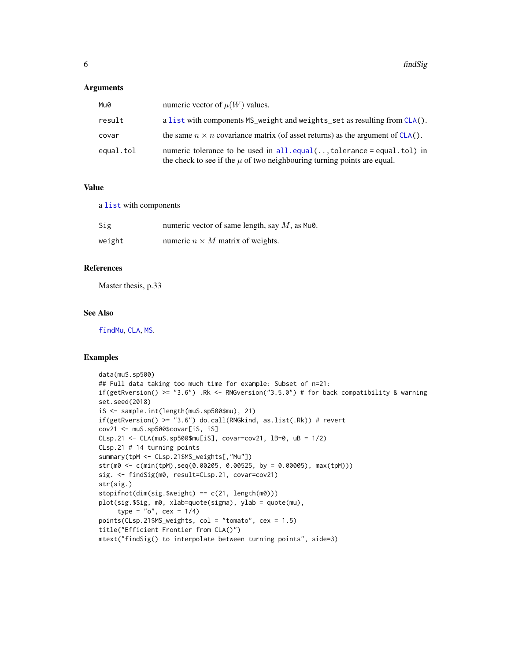# <span id="page-5-0"></span>Arguments

| Mu0       | numeric vector of $\mu(W)$ values.                                                                                                                     |
|-----------|--------------------------------------------------------------------------------------------------------------------------------------------------------|
| result    | a list with components MS_weight and weights_set as resulting from CLA().                                                                              |
| covar     | the same $n \times n$ covariance matrix (of asset returns) as the argument of CLA().                                                                   |
| equal.tol | numeric tolerance to be used in $all.equals(;tolerance = equal tol)$ in<br>the check to see if the $\mu$ of two neighbouring turning points are equal. |

# Value

a [list](#page-0-0) with components

| Sig    | numeric vector of same length, say $M$ , as Mu $\theta$ . |
|--------|-----------------------------------------------------------|
| weight | numeric $n \times M$ matrix of weights.                   |

# References

Master thesis, p.33

# See Also

[findMu](#page-3-1), [CLA](#page-1-1), [MS](#page-6-1).

```
data(muS.sp500)
## Full data taking too much time for example: Subset of n=21:
if(getRversion() >= "3.6") .Rk <- RNGversion("3.5.0") # for back compatibility & warning
set.seed(2018)
iS <- sample.int(length(muS.sp500$mu), 21)
if(getRversion() >= "3.6") do.call(RNGkind, as.list(.Rk)) # revert
cov21 <- muS.sp500$covar[iS, iS]
CLsp.21 <- CLA(muS.sp500$mu[iS], covar=cov21, lB=0, uB = 1/2)
CLsp.21 # 14 turning points
summary(tpM <- CLsp.21$MS_weights[,"Mu"])
str(m0 <- c(min(tpM),seq(0.00205, 0.00525, by = 0.00005), max(tpM)))
sig. <- findSig(m0, result=CLsp.21, covar=cov21)
str(sig.)
stopifnot(dim(sig.$weight) == c(21, length(m0)))
plot(sig.$Sig, m0, xlab=quote(sigma), ylab = quote(mu),
     type = "o", cex = 1/4)
points(CLsp.21$MS_weights, col = "tomato", cex = 1.5)
title("Efficient Frontier from CLA()")
mtext("findSig() to interpolate between turning points", side=3)
```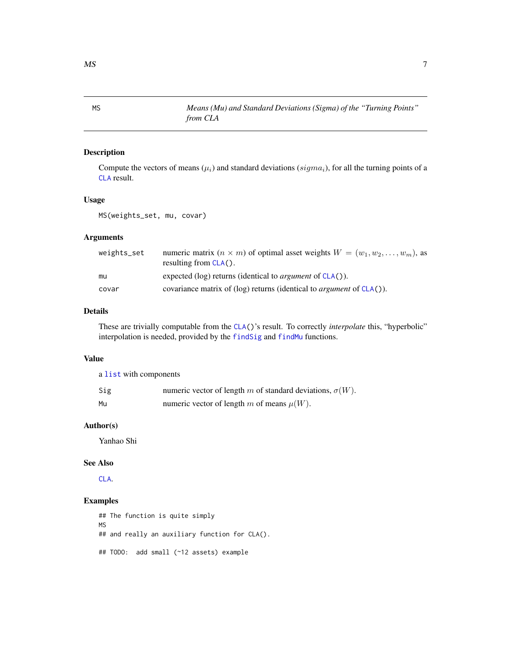Compute the vectors of means ( $\mu_i$ ) and standard deviations ( $sigma_i$ ), for all the turning points of a [CLA](#page-1-1) result.

# Usage

MS(weights\_set, mu, covar)

*from CLA*

### Arguments

| weights_set | numeric matrix $(n \times m)$ of optimal asset weights $W = (w_1, w_2, \dots, w_m)$ , as<br>resulting from $CLA()$ . |
|-------------|----------------------------------------------------------------------------------------------------------------------|
| mu          | expected (log) returns (identical to <i>argument</i> of $CLA()$ ).                                                   |
| covar       | covariance matrix of (log) returns (identical to <i>argument</i> of $CLA()$ ).                                       |

# Details

These are trivially computable from the [CLA\(](#page-1-1))'s result. To correctly *interpolate* this, "hyperbolic" interpolation is needed, provided by the [findSig](#page-4-1) and [findMu](#page-3-1) functions.

# Value

a [list](#page-0-0) with components

| Sig | numeric vector of length m of standard deviations, $\sigma(W)$ . |
|-----|------------------------------------------------------------------|
| Mu  | numeric vector of length m of means $\mu(W)$ .                   |

# Author(s)

Yanhao Shi

# See Also

[CLA](#page-1-1).

# Examples

## The function is quite simply MS ## and really an auxiliary function for CLA(). ## TODO: add small (~12 assets) example

<span id="page-6-1"></span><span id="page-6-0"></span>MS *Means (Mu) and Standard Deviations (Sigma) of the "Turning Points"*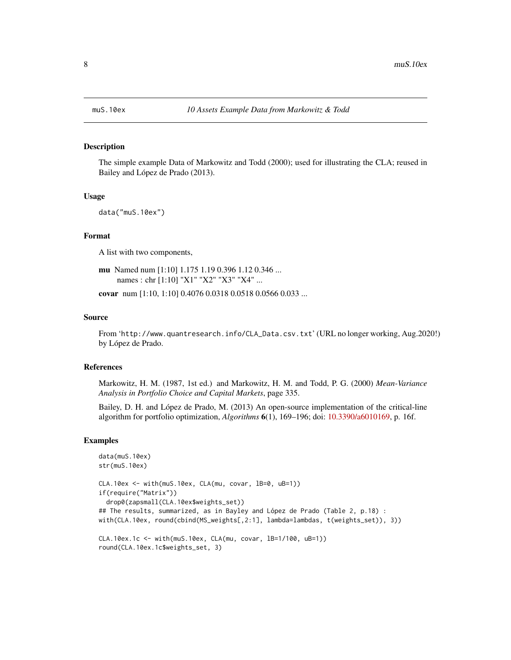The simple example Data of Markowitz and Todd (2000); used for illustrating the CLA; reused in Bailey and López de Prado (2013).

### Usage

data("muS.10ex")

# Format

A list with two components,

mu Named num [1:10] 1.175 1.19 0.396 1.12 0.346 ... names : chr [1:10] "X1" "X2" "X3" "X4" ...

covar num [1:10, 1:10] 0.4076 0.0318 0.0518 0.0566 0.033 ...

#### Source

From 'http://www.quantresearch.info/CLA\_Data.csv.txt' (URL no longer working, Aug.2020!) by López de Prado.

#### References

Markowitz, H. M. (1987, 1st ed.) and Markowitz, H. M. and Todd, P. G. (2000) *Mean-Variance Analysis in Portfolio Choice and Capital Markets*, page 335.

Bailey, D. H. and López de Prado, M. (2013) An open-source implementation of the critical-line algorithm for portfolio optimization, *Algorithms* 6(1), 169–196; doi: [10.3390/a6010169,](https://doi.org/10.3390/a6010169) p. 16f.

```
data(muS.10ex)
str(muS.10ex)
CLA.10ex <- with(muS.10ex, CLA(mu, covar, lB=0, uB=1))
if(require("Matrix"))
 drop0(zapsmall(CLA.10ex$weights_set))
## The results, summarized, as in Bayley and López de Prado (Table 2, p.18) :
with(CLA.10ex, round(cbind(MS_weights[,2:1], lambda=lambdas, t(weights_set)), 3))
CLA.10ex.1c <- with(muS.10ex, CLA(mu, covar, lB=1/100, uB=1))
round(CLA.10ex.1c$weights_set, 3)
```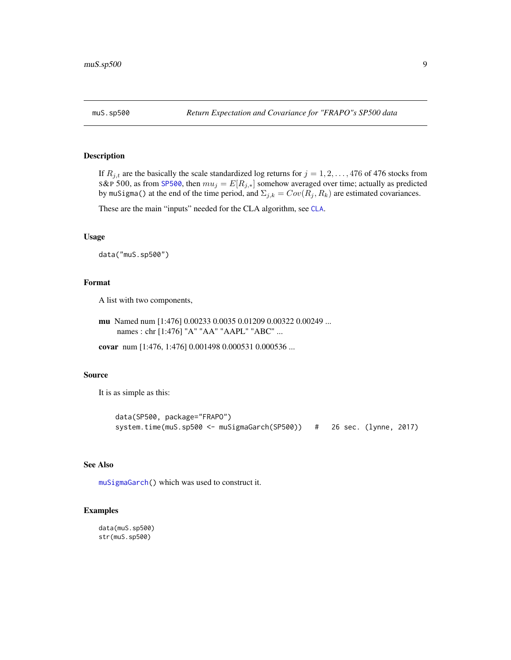<span id="page-8-1"></span><span id="page-8-0"></span>

If  $R_{j,t}$  are the basically the scale standardized log returns for  $j = 1, 2, ..., 476$  of 476 stocks from S&P 500, as from [SP500](#page-0-0), then  $mu_j = E[R_{j,*}]$  somehow averaged over time; actually as predicted by muSigma() at the end of the time period, and  $\Sigma_{j,k} = Cov(R_j, R_k)$  are estimated covariances.

These are the main "inputs" needed for the CLA algorithm, see [CLA](#page-1-1).

### Usage

data("muS.sp500")

#### Format

A list with two components,

```
mu Named num [1:476] 0.00233 0.0035 0.01209 0.00322 0.00249 ...
    names : chr [1:476] "A" "AA" "AAPL" "ABC" ...
```
covar num [1:476, 1:476] 0.001498 0.000531 0.000536 ...

#### Source

It is as simple as this:

```
data(SP500, package="FRAPO")
system.time(muS.sp500 <- muSigmaGarch(SP500)) # 26 sec. (lynne, 2017)
```
# See Also

[muSigmaGarch\(](#page-9-1)) which was used to construct it.

#### Examples

data(muS.sp500) str(muS.sp500)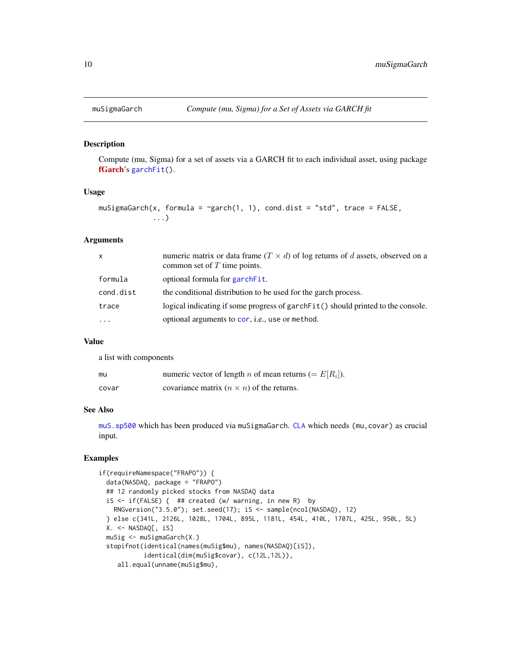<span id="page-9-1"></span><span id="page-9-0"></span>

Compute (mu, Sigma) for a set of assets via a GARCH fit to each individual asset, using package [fGarch](https://CRAN.R-project.org/package=fGarch)'s [garchFit\(](#page-0-0)).

# Usage

```
muSigmaGarch(x, formula = \gammagarch(1, 1), cond.dist = "std", trace = FALSE,
              ...)
```
# Arguments

| x         | numeric matrix or data frame $(T \times d)$ of log returns of d assets, observed on a<br>common set of $T$ time points. |
|-----------|-------------------------------------------------------------------------------------------------------------------------|
| formula   | optional formula for garch Fit.                                                                                         |
| cond.dist | the conditional distribution to be used for the garch process.                                                          |
| trace     | logical indicating if some progress of garchFit() should printed to the console.                                        |
| $\cdots$  | optional arguments to cor, i.e., use or method.                                                                         |

# Value

a list with components

| mu    | numeric vector of length <i>n</i> of mean returns (= $E[R_i]$ ). |
|-------|------------------------------------------------------------------|
| covar | covariance matrix $(n \times n)$ of the returns.                 |

# See Also

[muS.sp500](#page-8-1) which has been produced via muSigmaGarch. [CLA](#page-1-1) which needs (mu,covar) as crucial input.

```
if(requireNamespace("FRAPO")) {
 data(NASDAQ, package = "FRAPO")
 ## 12 randomly picked stocks from NASDAQ data
 iS <- if(FALSE) { ## created (w/ warning, in new R) by
   RNGversion("3.5.0"); set.seed(17); iS <- sample(ncol(NASDAQ), 12)
 } else c(341L, 2126L, 1028L, 1704L, 895L, 1181L, 454L, 410L, 1707L, 425L, 950L, 5L)
 X. <- NASDAQ[, iS]
 muSig <- muSigmaGarch(X.)
 stopifnot(identical(names(muSig$mu), names(NASDAQ)[iS]),
           identical(dim(muSig$covar), c(12L,12L)),
     all.equal(unname(muSig$mu),
```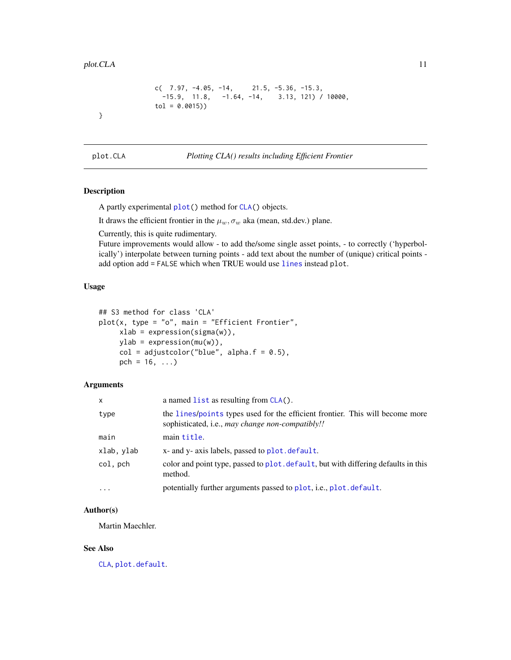<span id="page-10-0"></span>}

```
c( 7.97, -4.05, -14, 21.5, -5.36, -15.3,-15.9, 11.8, -1.64, -14, 3.13, 121) / 10000,tol = 0.0015))
```
<span id="page-10-1"></span>

plot.CLA *Plotting CLA() results including Efficient Frontier*

# Description

A partly experimental [plot\(](#page-0-0)) method for [CLA\(](#page-1-1)) objects.

It draws the efficient frontier in the  $\mu_w, \sigma_w$  aka (mean, std.dev.) plane.

Currently, this is quite rudimentary.

Future improvements would allow - to add the/some single asset points, - to correctly ('hyperbolically') interpolate between turning points - add text about the number of (unique) critical points add option add = FALSE which when TRUE would use [lines](#page-0-0) instead plot.

# Usage

```
## S3 method for class 'CLA'
plot(x, type = "o", main = "Efficient Frontier",xlab = expression(sigma(w)),ylab = expression(mu(w)),
     col = adjustcolor("blue", alpha.f = 0.5),pch = 16, ...)
```
# Arguments

| $\times$   | a named $list$ as resulting from $CLA()$ .                                                                                        |
|------------|-----------------------------------------------------------------------------------------------------------------------------------|
| type       | the lines/points types used for the efficient frontier. This will become more<br>sophisticated, i.e., may change non-compatibly!! |
| main       | main title.                                                                                                                       |
| xlab, ylab | x- and y- axis labels, passed to plot. default.                                                                                   |
| col, pch   | color and point type, passed to plot. default, but with differing defaults in this<br>method.                                     |
| $\cdots$   | potentially further arguments passed to plot, i.e., plot. default.                                                                |

# Author(s)

Martin Maechler.

# See Also

[CLA](#page-1-1), [plot.default](#page-0-0).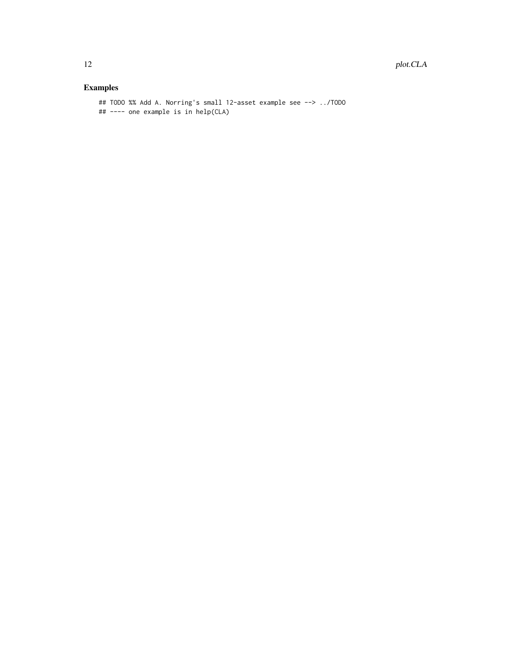```
## TODO %% Add A. Norring's small 12-asset example see --> ../TODO
## ---- one example is in help(CLA)
```